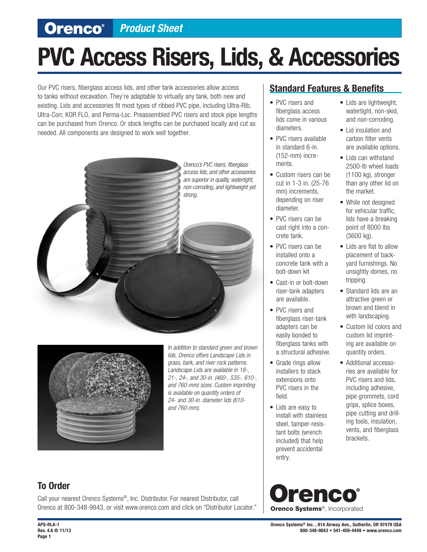## **Orenco**<sup>*••*</sup> *Product Sheet*

# **PVC Access Risers, Lids, & Accessories**

Our PVC risers, fiberglass access lids, and other tank accessories allow access to tanks without excavation. They're adaptable to virtually any tank, both new and existing. Lids and accessories fit most types of ribbed PVC pipe, including Ultra-Rib, Ultra-Corr, KOR FLO, and Perma-Loc. Preassembled PVC risers and stock pipe lengths can be purchased from Orenco. Or stock lengths can be purchased locally and cut as needed. All components are designed to work well together.





*In addition to standard green and brown lids, Orenco offers Landscape Lids in grass, bark, and river rock patterns. Landscape Lids are available in 18-, 21-, 24-, and 30-in. (460-, 535-, 610-, and 760-mm) sizes. Custom imprinting is available on quantity orders of 24- and 30-in. diameter lids (610 and 760-mm).*

#### **Standard Features & Benefits**

- PVC risers and fiberglass access lids come in various diameters.
- PVC risers available in standard 6-in. (152-mm) increments.
- Custom risers can be cut in 1-3 in. (25-76 mm) increments, depending on riser diameter.
- PVC risers can be cast right into a concrete tank.
- PVC risers can be installed onto a concrete tank with a bolt-down kit
- Cast-in or bolt-down riser-tank adapters are available.
- PVC risers and fiberglass riser-tank adapters can be easily bonded to fiberglass tanks with a structural adhesive.
- Grade rings allow installers to stack extensions onto PVC risers in the field.
- Lids are easy to install with stainless steel, tamper-resistant bolts (wrench included) that help prevent accidental entry.

#### • Lids are lightweight, watertight, non-skid, and non-corroding.

- Lid insulation and carbon filter vents are available options.
- Lids can withstand 2500-lb wheel loads (1100 kg), stronger than any other lid on the market.
- While not designed for vehicular traffic, lids have a breaking point of 8000 lbs (3600 kg).
- Lids are flat to allow placement of backyard furnishings. No unsightly domes, no tripping.
- Standard lids are an attractive green or brown and blend in with landscaping.
- Custom lid colors and custom lid imprinting are available on quantity orders.
- Additional accessories are available for PVC risers and lids, including adhesive, pipe grommets, cord grips, splice boxes, pipe cutting and drilling tools, insulation, vents, and fiberglass brackets.

Call your nearest Orenco Systems®, Inc. Distributor. For nearest Distributor, call Orenco at 800-348-9843, or visit www.orenco.com and click on "Distributor Locator."